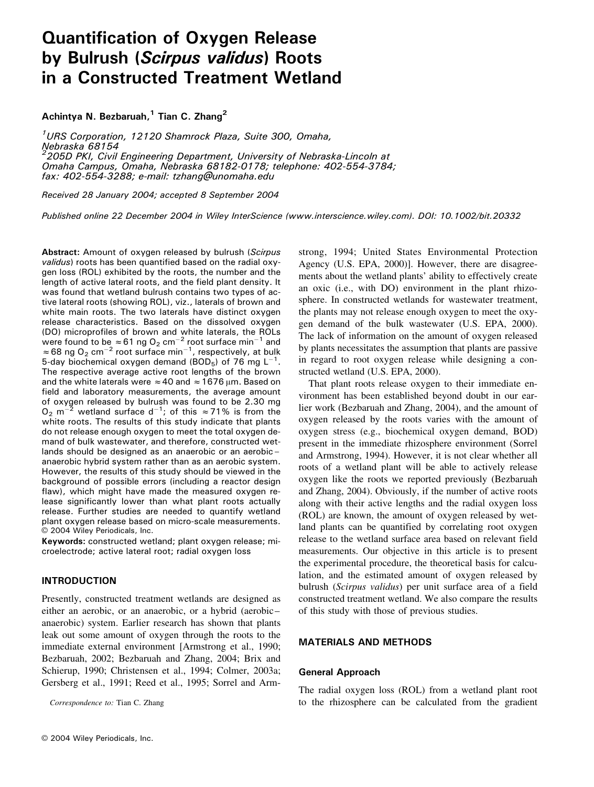# Quantification of Oxygen Release by Bulrush (Scirpus validus) Roots in a Constructed Treatment Wetland

Achintya N. Bezbaruah,<sup>1</sup> Tian C. Zhang<sup>2</sup>

1 URS Corporation, 12120 Shamrock Plaza, Suite 300, Omaha, Nebraska 68154<br><sup>2</sup>2050. RKL Civil 205D PKI, Civil Engineering Department, University of Nebraska-Lincoln at Omaha Campus, Omaha, Nebraska 68182-0178; telephone: 402-554-3784; fax: 402-554-3288; e-mail: tzhang@unomaha.edu

Received 28 January 2004; accepted 8 September 2004

Published online 22 December 2004 in Wiley InterScience (www.interscience.wiley.com). DOI: 10.1002/bit.20332

Abstract: Amount of oxygen released by bulrush (Scirpus validus) roots has been quantified based on the radial oxygen loss (ROL) exhibited by the roots, the number and the length of active lateral roots, and the field plant density. It was found that wetland bulrush contains two types of active lateral roots (showing ROL), viz., laterals of brown and white main roots. The two laterals have distinct oxygen release characteristics. Based on the dissolved oxygen (DO) microprofiles of brown and white laterals, the ROLs<br>were found to be  $\approx$  61 ng O<sub>2</sub> cm<sup>-2</sup> root surface min<sup>-1</sup> and  $\approx$  68 ng O<sub>2</sub> cm<sup>-2</sup> root surface min<sup>-1</sup>, respectively, at bulk 5-day biochemical oxygen demand (BOD<sub>5</sub>) of 76 mg  $L^-$ . The respective average active root lengths of the brown and the white laterals were  $\approx$  40 and  $\approx$  1676  $\mu$ m. Based on field and laboratory measurements, the average amount of oxygen released by bulrush was found to be 2.30 mg  $O_2$  m<sup>-2</sup> wetland surface d<sup>-1</sup>; of this  $\approx$  71% is from the white roots. The results of this study indicate that plants do not release enough oxygen to meet the total oxygen demand of bulk wastewater, and therefore, constructed wetlands should be designed as an anaerobic or an aerobicanaerobic hybrid system rather than as an aerobic system. However, the results of this study should be viewed in the background of possible errors (including a reactor design flaw), which might have made the measured oxygen release significantly lower than what plant roots actually release. Further studies are needed to quantify wetland plant oxygen release based on micro-scale measurements.  $©$  2004 Wiley Periodicals, Inc.

Keywords: constructed wetland; plant oxygen release; microelectrode; active lateral root; radial oxygen loss

## INTRODUCTION

Presently, constructed treatment wetlands are designed as either an aerobic, or an anaerobic, or a hybrid (aerobic– anaerobic) system. Earlier research has shown that plants leak out some amount of oxygen through the roots to the immediate external environment [Armstrong et al., 1990; Bezbaruah, 2002; Bezbaruah and Zhang, 2004; Brix and Schierup, 1990; Christensen et al., 1994; Colmer, 2003a; Gersberg et al., 1991; Reed et al., 1995; Sorrel and Arm-

Correspondence to: Tian C. Zhang

strong, 1994; United States Environmental Protection Agency (U.S. EPA, 2000)]. However, there are disagreements about the wetland plants' ability to effectively create an oxic (i.e., with DO) environment in the plant rhizosphere. In constructed wetlands for wastewater treatment, the plants may not release enough oxygen to meet the oxygen demand of the bulk wastewater (U.S. EPA, 2000). The lack of information on the amount of oxygen released by plants necessitates the assumption that plants are passive in regard to root oxygen release while designing a constructed wetland (U.S. EPA, 2000).

That plant roots release oxygen to their immediate environment has been established beyond doubt in our earlier work (Bezbaruah and Zhang, 2004), and the amount of oxygen released by the roots varies with the amount of oxygen stress (e.g., biochemical oxygen demand, BOD) present in the immediate rhizosphere environment (Sorrel and Armstrong, 1994). However, it is not clear whether all roots of a wetland plant will be able to actively release oxygen like the roots we reported previously (Bezbaruah and Zhang, 2004). Obviously, if the number of active roots along with their active lengths and the radial oxygen loss (ROL) are known, the amount of oxygen released by wetland plants can be quantified by correlating root oxygen release to the wetland surface area based on relevant field measurements. Our objective in this article is to present the experimental procedure, the theoretical basis for calculation, and the estimated amount of oxygen released by bulrush (Scirpus validus) per unit surface area of a field constructed treatment wetland. We also compare the results of this study with those of previous studies.

## MATERIALS AND METHODS

## General Approach

The radial oxygen loss (ROL) from a wetland plant root to the rhizosphere can be calculated from the gradient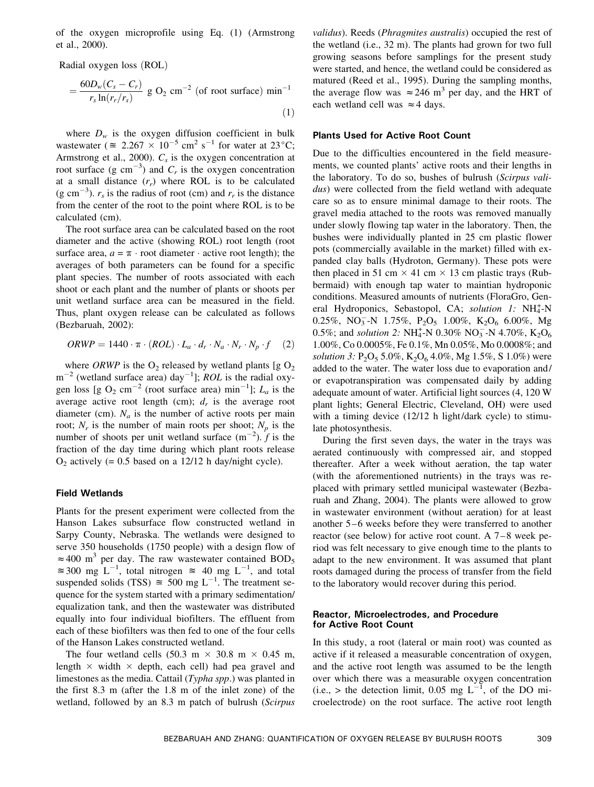of the oxygen microprofile using Eq. (1) (Armstrong et al., 2000).

Radial oxygen loss (ROL)

$$
=\frac{60D_w(C_s-C_r)}{r_s\ln(r_r/r_s)}\text{ g O}_2\text{ cm}^{-2}\text{ (of root surface) min}^{-1}\text{ (1)}
$$

where  $D_w$  is the oxygen diffusion coefficient in bulk wastewater ( $\approx 2.267 \times 10^{-5}$  cm<sup>2</sup> s<sup>-1</sup> for water at 23<sup>°</sup>C; Armstrong et al., 2000).  $C_s$  is the oxygen concentration at root surface (g cm<sup>-3</sup>) and  $C_r$  is the oxygen concentration at a small distance  $(r_r)$  where ROL is to be calculated (g cm<sup>-3</sup>).  $r_s$  is the radius of root (cm) and  $r_r$  is the distance from the center of the root to the point where ROL is to be calculated (cm).

The root surface area can be calculated based on the root diameter and the active (showing ROL) root length (root surface area,  $a = \pi \cdot$  root diameter  $\cdot$  active root length); the averages of both parameters can be found for a specific plant species. The number of roots associated with each shoot or each plant and the number of plants or shoots per unit wetland surface area can be measured in the field. Thus, plant oxygen release can be calculated as follows (Bezbaruah, 2002):

$$
ORWP = 1440 \cdot \pi \cdot (ROL) \cdot L_a \cdot d_r \cdot N_a \cdot N_r \cdot N_p \cdot f \quad (2)
$$

where ORWP is the  $O_2$  released by wetland plants [g  $O_2$ ]  $m^{-2}$  (wetland surface area) day<sup>-1</sup>]; *ROL* is the radial oxygen loss [g O<sub>2</sub> cm<sup>-2</sup> (root surface area) min<sup>-1</sup>];  $L_a$  is the average active root length (cm);  $d_r$  is the average root diameter (cm).  $N_a$  is the number of active roots per main root;  $N_r$  is the number of main roots per shoot;  $N_p$  is the number of shoots per unit wetland surface  $(m^{-2})$ .  $f$  is the fraction of the day time during which plant roots release  $O_2$  actively (= 0.5 based on a 12/12 h day/night cycle).

## Field Wetlands

Plants for the present experiment were collected from the Hanson Lakes subsurface flow constructed wetland in Sarpy County, Nebraska. The wetlands were designed to serve 350 households (1750 people) with a design flow of  $\approx$  400 m<sup>3</sup> per day. The raw wastewater contained BOD<sub>5</sub>  $\approx$  300 mg L<sup>-1</sup>, total nitrogen  $\approx$  40 mg L<sup>-1</sup>, and total suspended solids (TSS)  $\approx$  500 mg L<sup>-1</sup>. The treatment sequence for the system started with a primary sedimentation/ equalization tank, and then the wastewater was distributed equally into four individual biofilters. The effluent from each of these biofilters was then fed to one of the four cells of the Hanson Lakes constructed wetland.

The four wetland cells  $(50.3 \text{ m} \times 30.8 \text{ m} \times 0.45 \text{ m}$ , length  $\times$  width  $\times$  depth, each cell) had pea gravel and limestones as the media. Cattail (Typha spp.) was planted in the first 8.3 m (after the 1.8 m of the inlet zone) of the wetland, followed by an 8.3 m patch of bulrush (Scirpus validus). Reeds (Phragmites australis) occupied the rest of the wetland (i.e., 32 m). The plants had grown for two full growing seasons before samplings for the present study were started, and hence, the wetland could be considered as matured (Reed et al., 1995). During the sampling months, the average flow was  $\approx$  246 m<sup>3</sup> per day, and the HRT of each wetland cell was  $\approx$  4 days.

## Plants Used for Active Root Count

Due to the difficulties encountered in the field measurements, we counted plants' active roots and their lengths in the laboratory. To do so, bushes of bulrush (Scirpus validus) were collected from the field wetland with adequate care so as to ensure minimal damage to their roots. The gravel media attached to the roots was removed manually under slowly flowing tap water in the laboratory. Then, the bushes were individually planted in 25 cm plastic flower pots (commercially available in the market) filled with expanded clay balls (Hydroton, Germany). These pots were then placed in 51 cm  $\times$  41 cm  $\times$  13 cm plastic trays (Rubbermaid) with enough tap water to maintian hydroponic conditions. Measured amounts of nutrients (FloraGro, General Hydroponics, Sebastopol, CA; solution 1: NH<sub>4</sub>-N 0.25%, NO<sub>3</sub>-N 1.75%, P<sub>2</sub>O<sub>5</sub> 1.00%, K<sub>2</sub>O<sub>6</sub> 6.00%, Mg 0.5%; and *solution* 2: NH<sub>4</sub>-N 0.30% NO<sub>3</sub>-N 4.70%, K<sub>2</sub>O<sub>6</sub> 1.00%, Co 0.0005%, Fe 0.1%, Mn 0.05%, Mo 0.0008%; and solution 3:  $P_2O_5$  5.0%,  $K_2O_6$  4.0%, Mg 1.5%, S 1.0%) were added to the water. The water loss due to evaporation and/ or evapotranspiration was compensated daily by adding adequate amount of water. Artificial light sources (4, 120 W plant lights; General Electric, Cleveland, OH) were used with a timing device (12/12 h light/dark cycle) to stimulate photosynthesis.

During the first seven days, the water in the trays was aerated continuously with compressed air, and stopped thereafter. After a week without aeration, the tap water (with the aforementioned nutrients) in the trays was replaced with primary settled municipal wastewater (Bezbaruah and Zhang, 2004). The plants were allowed to grow in wastewater environment (without aeration) for at least another 5–6 weeks before they were transferred to another reactor (see below) for active root count. A 7–8 week period was felt necessary to give enough time to the plants to adapt to the new environment. It was assumed that plant roots damaged during the process of transfer from the field to the laboratory would recover during this period.

## Reactor, Microelectrodes, and Procedure for Active Root Count

In this study, a root (lateral or main root) was counted as active if it released a measurable concentration of oxygen, and the active root length was assumed to be the length over which there was a measurable oxygen concentration (i.e., > the detection limit, 0.05 mg  $L^{-1}$ , of the DO microelectrode) on the root surface. The active root length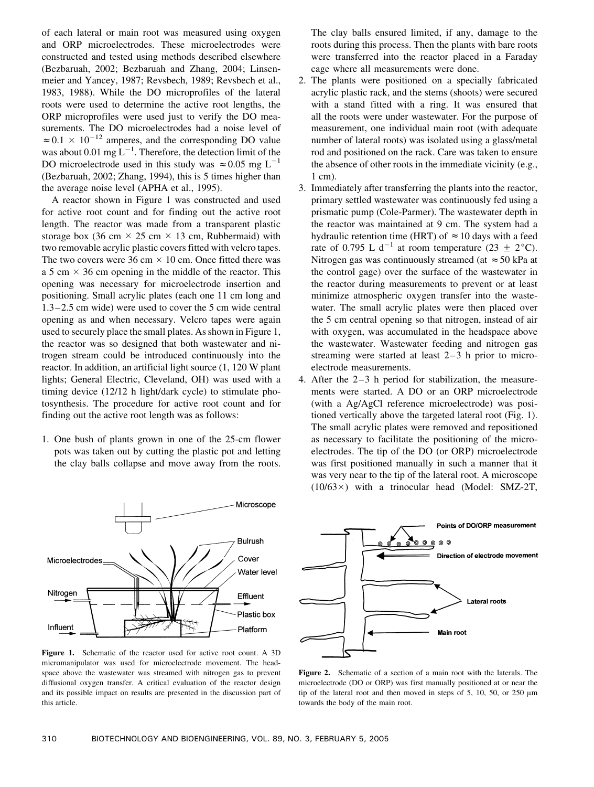of each lateral or main root was measured using oxygen and ORP microelectrodes. These microelectrodes were constructed and tested using methods described elsewhere (Bezbaruah, 2002; Bezbaruah and Zhang, 2004; Linsenmeier and Yancey, 1987; Revsbech, 1989; Revsbech et al., 1983, 1988). While the DO microprofiles of the lateral roots were used to determine the active root lengths, the ORP microprofiles were used just to verify the DO measurements. The DO microelectrodes had a noise level of  $\approx 0.1 \times 10^{-12}$  amperes, and the corresponding DO value was about 0.01 mg  $L^{-1}$ . Therefore, the detection limit of the DO microelectrode used in this study was  $\approx 0.05$  mg L<sup>-1</sup> (Bezbaruah, 2002; Zhang, 1994), this is 5 times higher than the average noise level (APHA et al., 1995).

A reactor shown in Figure 1 was constructed and used for active root count and for finding out the active root length. The reactor was made from a transparent plastic storage box (36 cm  $\times$  25 cm  $\times$  13 cm, Rubbermaid) with two removable acrylic plastic covers fitted with velcro tapes. The two covers were  $36 \text{ cm} \times 10 \text{ cm}$ . Once fitted there was a 5 cm  $\times$  36 cm opening in the middle of the reactor. This opening was necessary for microelectrode insertion and positioning. Small acrylic plates (each one 11 cm long and 1.3–2.5 cm wide) were used to cover the 5 cm wide central opening as and when necessary. Velcro tapes were again used to securely place the small plates. As shown in Figure 1, the reactor was so designed that both wastewater and nitrogen stream could be introduced continuously into the reactor. In addition, an artificial light source (1, 120 W plant lights; General Electric, Cleveland, OH) was used with a timing device (12/12 h light/dark cycle) to stimulate photosynthesis. The procedure for active root count and for finding out the active root length was as follows:

1. One bush of plants grown in one of the 25-cm flower pots was taken out by cutting the plastic pot and letting the clay balls collapse and move away from the roots.



Figure 1. Schematic of the reactor used for active root count. A 3D micromanipulator was used for microelectrode movement. The headspace above the wastewater was streamed with nitrogen gas to prevent diffusional oxygen transfer. A critical evaluation of the reactor design and its possible impact on results are presented in the discussion part of this article.

The clay balls ensured limited, if any, damage to the roots during this process. Then the plants with bare roots were transferred into the reactor placed in a Faraday cage where all measurements were done.

- 2. The plants were positioned on a specially fabricated acrylic plastic rack, and the stems (shoots) were secured with a stand fitted with a ring. It was ensured that all the roots were under wastewater. For the purpose of measurement, one individual main root (with adequate number of lateral roots) was isolated using a glass/metal rod and positioned on the rack. Care was taken to ensure the absence of other roots in the immediate vicinity (e.g., 1 cm).
- 3. Immediately after transferring the plants into the reactor, primary settled wastewater was continuously fed using a prismatic pump (Cole-Parmer). The wastewater depth in the reactor was maintained at 9 cm. The system had a hydraulic retention time (HRT) of  $\approx$  10 days with a feed rate of 0.795 L d<sup>-1</sup> at room temperature (23  $\pm$  2°C). Nitrogen gas was continuously streamed (at  $\approx$  50 kPa at the control gage) over the surface of the wastewater in the reactor during measurements to prevent or at least minimize atmospheric oxygen transfer into the wastewater. The small acrylic plates were then placed over the 5 cm central opening so that nitrogen, instead of air with oxygen, was accumulated in the headspace above the wastewater. Wastewater feeding and nitrogen gas streaming were started at least 2–3 h prior to microelectrode measurements.
- 4. After the 2–3 h period for stabilization, the measurements were started. A DO or an ORP microelectrode (with a Ag/AgCl reference microelectrode) was positioned vertically above the targeted lateral root (Fig. 1). The small acrylic plates were removed and repositioned as necessary to facilitate the positioning of the microelectrodes. The tip of the DO (or ORP) microelectrode was first positioned manually in such a manner that it was very near to the tip of the lateral root. A microscope  $(10/63 \times)$  with a trinocular head (Model: SMZ-2T,



Figure 2. Schematic of a section of a main root with the laterals. The microelectrode (DO or ORP) was first manually positioned at or near the tip of the lateral root and then moved in steps of  $5$ ,  $10$ ,  $50$ , or  $250 \mu m$ towards the body of the main root.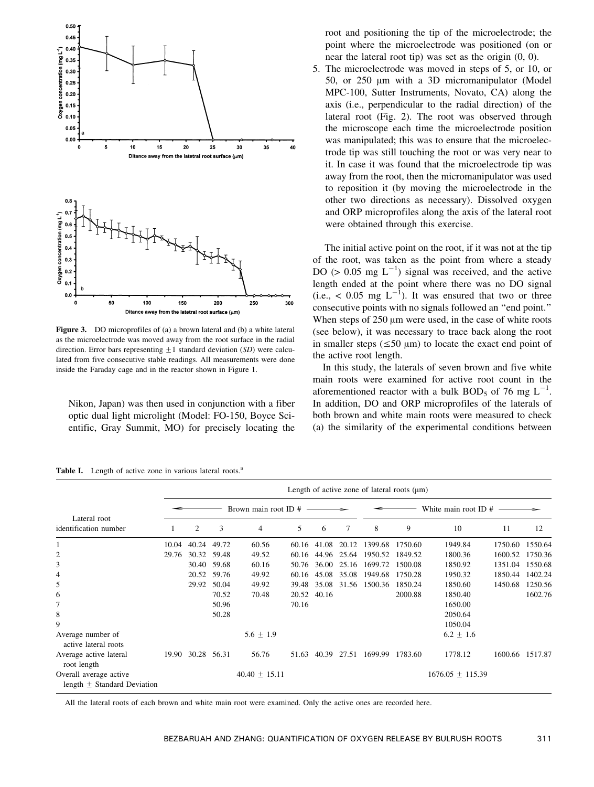

Figure 3. DO microprofiles of (a) a brown lateral and (b) a white lateral as the microelectrode was moved away from the root surface in the radial direction. Error bars representing  $\pm 1$  standard deviation (SD) were calculated from five consecutive stable readings. All measurements were done inside the Faraday cage and in the reactor shown in Figure 1.

Nikon, Japan) was then used in conjunction with a fiber optic dual light microlight (Model: FO-150, Boyce Scientific, Gray Summit, MO) for precisely locating the

root and positioning the tip of the microelectrode; the point where the microelectrode was positioned (on or near the lateral root tip) was set as the origin (0, 0).

5. The microelectrode was moved in steps of 5, or 10, or 50, or 250  $\mu$ m with a 3D micromanipulator (Model MPC-100, Sutter Instruments, Novato, CA) along the axis (i.e., perpendicular to the radial direction) of the lateral root (Fig. 2). The root was observed through the microscope each time the microelectrode position was manipulated; this was to ensure that the microelectrode tip was still touching the root or was very near to it. In case it was found that the microelectrode tip was away from the root, then the micromanipulator was used to reposition it (by moving the microelectrode in the other two directions as necessary). Dissolved oxygen and ORP microprofiles along the axis of the lateral root were obtained through this exercise.

The initial active point on the root, if it was not at the tip of the root, was taken as the point from where a steady DO ( $> 0.05$  mg L<sup>-1</sup>) signal was received, and the active length ended at the point where there was no DO signal  $(i.e., < 0.05$  mg  $L^{-1}$ ). It was ensured that two or three consecutive points with no signals followed an ''end point.'' When steps of  $250 \mu m$  were used, in the case of white roots (see below), it was necessary to trace back along the root in smaller steps  $(\leq 50 \,\mu\text{m})$  to locate the exact end point of the active root length.

In this study, the laterals of seven brown and five white main roots were examined for active root count in the aforementioned reactor with a bulk BOD<sub>5</sub> of 76 mg  $L^{-1}$ . In addition, DO and ORP microprofiles of the laterals of both brown and white main roots were measured to check (a) the similarity of the experimental conditions between

Lateral root identification number Length of active zone of lateral roots  $(\mu m)$ 2011 various lateral roots.<sup>3</sup><br>Length of active zone of lateral roots ( $\mu$ m)<br>
Shown main root ID # <u>shown main root ID # shown main root ID # shown main root ID # shown main root ID # shown main root ID # shown main root</u> 1 2 3 4 5 6 7 8 9 10 11 12 1 10.04 40.24 49.72 60.56 60.16 41.08 20.12 1399.68 1750.60 1949.84 1750.60 1550.64 2 29.76 30.32 59.48 49.52 60.16 44.96 25.64 1950.52 1849.52 1800.36 1600.52 1750.36 3 30.40 59.68 60.16 50.76 36.00 25.16 1699.72 1500.08 1850.92 1351.04 1550.68 4 20.52 59.76 49.92 60.16 45.08 35.08 1949.68 1750.28 1950.32 1850.44 1402.24 5 29.92 50.04 49.92 39.48 35.08 31.56 1500.36 1850.24 1850.60 1450.68 1250.56 6 70.52 70.48 20.52 40.16 2000.88 1850.40 1602.76 7 50.96 70.16 1650.00 8 50.28 2050.64 9 1050.04 Average number of active lateral roots  $5.6 \pm 1.9$  6.2  $\pm$  1.6 Average active lateral root length 19.90 30.28 56.31 56.76 51.63 40.39 27.51 1699.99 1783.60 1778.12 1600.66 1517.87 Overall average active  $length + Standard Deviation$  $40.40 \pm 15.11$  1676.05  $\pm$  115.39

Table I. Length of active zone in various lateral roots.<sup>a</sup>

All the lateral roots of each brown and white main root were examined. Only the active ones are recorded here.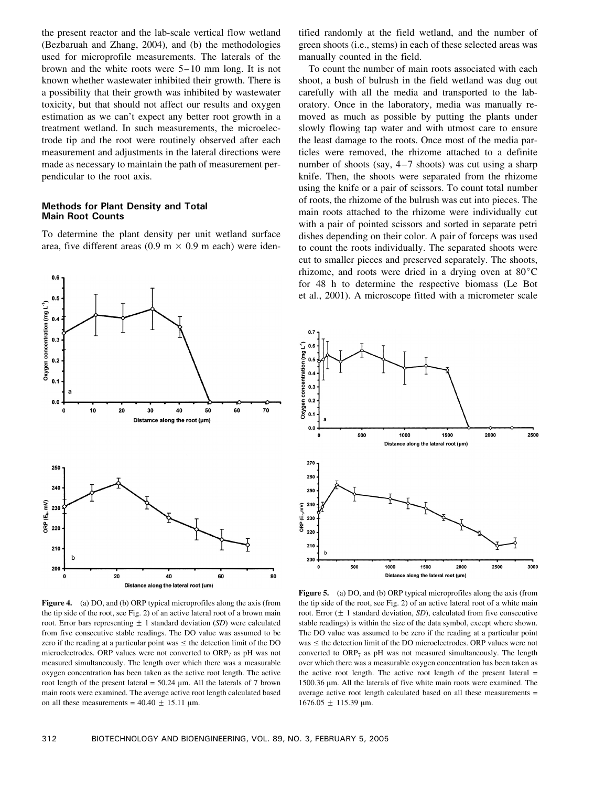the present reactor and the lab-scale vertical flow wetland (Bezbaruah and Zhang, 2004), and (b) the methodologies used for microprofile measurements. The laterals of the brown and the white roots were 5–10 mm long. It is not known whether wastewater inhibited their growth. There is a possibility that their growth was inhibited by wastewater toxicity, but that should not affect our results and oxygen estimation as we can't expect any better root growth in a treatment wetland. In such measurements, the microelectrode tip and the root were routinely observed after each measurement and adjustments in the lateral directions were made as necessary to maintain the path of measurement perpendicular to the root axis.

## Methods for Plant Density and Total Main Root Counts

To determine the plant density per unit wetland surface area, five different areas (0.9 m  $\times$  0.9 m each) were iden-



Figure 4. (a) DO, and (b) ORP typical microprofiles along the axis (from the tip side of the root, see Fig. 2) of an active lateral root of a brown main root. Error bars representing  $\pm$  1 standard deviation (SD) were calculated from five consecutive stable readings. The DO value was assumed to be zero if the reading at a particular point was  $\leq$  the detection limit of the DO microelectrodes. ORP values were not converted to  $ORP<sub>7</sub>$  as pH was not measured simultaneously. The length over which there was a measurable oxygen concentration has been taken as the active root length. The active root length of the present lateral  $= 50.24$  µm. All the laterals of 7 brown main roots were examined. The average active root length calculated based on all these measurements =  $40.40 \pm 15.11$  µm.

tified randomly at the field wetland, and the number of green shoots (i.e., stems) in each of these selected areas was manually counted in the field.

To count the number of main roots associated with each shoot, a bush of bulrush in the field wetland was dug out carefully with all the media and transported to the laboratory. Once in the laboratory, media was manually removed as much as possible by putting the plants under slowly flowing tap water and with utmost care to ensure the least damage to the roots. Once most of the media particles were removed, the rhizome attached to a definite number of shoots (say, 4–7 shoots) was cut using a sharp knife. Then, the shoots were separated from the rhizome using the knife or a pair of scissors. To count total number of roots, the rhizome of the bulrush was cut into pieces. The main roots attached to the rhizome were individually cut with a pair of pointed scissors and sorted in separate petri dishes depending on their color. A pair of forceps was used to count the roots individually. The separated shoots were cut to smaller pieces and preserved separately. The shoots, rhizome, and roots were dried in a drying oven at  $80^{\circ}$ C for 48 h to determine the respective biomass (Le Bot et al., 2001). A microscope fitted with a micrometer scale



Figure 5. (a) DO, and (b) ORP typical microprofiles along the axis (from the tip side of the root, see Fig. 2) of an active lateral root of a white main root. Error  $(\pm 1)$  standard deviation, SD), calculated from five consecutive stable readings) is within the size of the data symbol, except where shown. The DO value was assumed to be zero if the reading at a particular point  $was \leq$  the detection limit of the DO microelectrodes. ORP values were not converted to  $ORP<sub>7</sub>$  as pH was not measured simultaneously. The length over which there was a measurable oxygen concentration has been taken as the active root length. The active root length of the present lateral  $=$ 1500.36 μm. All the laterals of five white main roots were examined. The average active root length calculated based on all these measurements =  $1676.05 \pm 115.39 \,\mu m$ .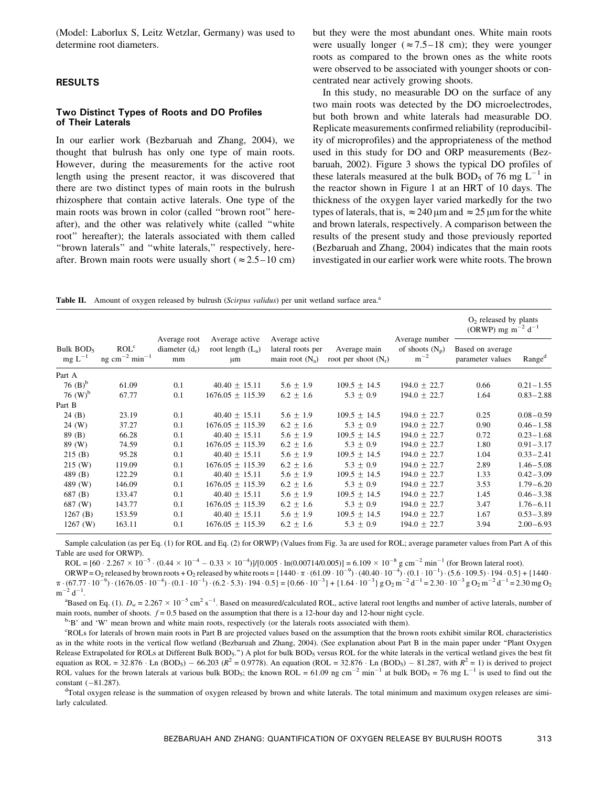(Model: Laborlux S, Leitz Wetzlar, Germany) was used to determine root diameters.

## RESULTS

## Two Distinct Types of Roots and DO Profiles of Their Laterals

In our earlier work (Bezbaruah and Zhang, 2004), we thought that bulrush has only one type of main roots. However, during the measurements for the active root length using the present reactor, it was discovered that there are two distinct types of main roots in the bulrush rhizosphere that contain active laterals. One type of the main roots was brown in color (called ''brown root'' hereafter), and the other was relatively white (called ''white root'' hereafter); the laterals associated with them called ''brown laterals'' and ''white laterals,'' respectively, hereafter. Brown main roots were usually short ( $\approx 2.5-10$  cm) but they were the most abundant ones. White main roots were usually longer ( $\approx$  7.5–18 cm); they were younger roots as compared to the brown ones as the white roots were observed to be associated with younger shoots or concentrated near actively growing shoots.

In this study, no measurable DO on the surface of any two main roots was detected by the DO microelectrodes, but both brown and white laterals had measurable DO. Replicate measurements confirmed reliability (reproducibility of microprofiles) and the appropriateness of the method used in this study for DO and ORP measurements (Bezbaruah, 2002). Figure 3 shows the typical DO profiles of these laterals measured at the bulk BOD<sub>5</sub> of 76 mg  $L^{-1}$  in the reactor shown in Figure 1 at an HRT of 10 days. The thickness of the oxygen layer varied markedly for the two types of laterals, that is,  $\approx 240 \,\mu m$  and  $\approx 25 \,\mu m$  for the white and brown laterals, respectively. A comparison between the results of the present study and those previously reported (Bezbaruah and Zhang, 2004) indicates that the main roots investigated in our earlier work were white roots. The brown

**Table II.** Amount of oxygen released by bulrush (Scirpus validus) per unit wetland surface area.<sup>a</sup>

|                                      | ROL <sup>c</sup><br>ng cm <sup><math>-2</math></sup> min <sup><math>-1</math></sup> | Average root<br>diameter $(d_r)$<br>mm | Average active<br>root length $(L_a)$<br>μm | Average active<br>lateral roots per<br>main root $(N_2)$ | Average main<br>root per shoot $(N_r)$ | Average number<br>of shoots $(N_n)$<br>$m^{-2}$ | $O2$ released by plants<br>(ORWP) mg m <sup>-2</sup> d <sup>-1</sup> |                    |
|--------------------------------------|-------------------------------------------------------------------------------------|----------------------------------------|---------------------------------------------|----------------------------------------------------------|----------------------------------------|-------------------------------------------------|----------------------------------------------------------------------|--------------------|
| Bulk BOD <sub>5</sub><br>$mg L^{-1}$ |                                                                                     |                                        |                                             |                                                          |                                        |                                                 | Based on average<br>parameter values                                 | Range <sup>a</sup> |
| Part A                               |                                                                                     |                                        |                                             |                                                          |                                        |                                                 |                                                                      |                    |
| 76 $(B)^{b}$                         | 61.09                                                                               | 0.1                                    | $40.40 \pm 15.11$                           | $5.6 \pm 1.9$                                            | $109.5 \pm 14.5$                       | $194.0 \pm 22.7$                                | 0.66                                                                 | $0.21 - 1.55$      |
| 76 $(W)^{b}$                         | 67.77                                                                               | 0.1                                    | $1676.05 \pm 115.39$                        | $6.2 \pm 1.6$                                            | $5.3 \pm 0.9$                          | $194.0 \pm 22.7$                                | 1.64                                                                 | $0.83 - 2.88$      |
| Part B                               |                                                                                     |                                        |                                             |                                                          |                                        |                                                 |                                                                      |                    |
| 24(B)                                | 23.19                                                                               | 0.1                                    | $40.40 \pm 15.11$                           | $5.6 \pm 1.9$                                            | $109.5 \pm 14.5$                       | $194.0 \pm 22.7$                                | 0.25                                                                 | $0.08 - 0.59$      |
| 24 (W)                               | 37.27                                                                               | 0.1                                    | $1676.05 + 115.39$                          | $6.2 \pm 1.6$                                            | $5.3 \pm 0.9$                          | $194.0 + 22.7$                                  | 0.90                                                                 | $0.46 - 1.58$      |
| 89 (B)                               | 66.28                                                                               | 0.1                                    | $40.40 \pm 15.11$                           | $5.6 \pm 1.9$                                            | $109.5 \pm 14.5$                       | $194.0 \pm 22.7$                                | 0.72                                                                 | $0.23 - 1.68$      |
| 89 (W)                               | 74.59                                                                               | 0.1                                    | $1676.05 + 115.39$                          | $6.2 \pm 1.6$                                            | $5.3 \pm 0.9$                          | $194.0 + 22.7$                                  | 1.80                                                                 | $0.91 - 3.17$      |
| 215(B)                               | 95.28                                                                               | 0.1                                    | $40.40 + 15.11$                             | $5.6 \pm 1.9$                                            | $109.5 \pm 14.5$                       | $194.0 \pm 22.7$                                | 1.04                                                                 | $0.33 - 2.41$      |
| $215$ (W)                            | 119.09                                                                              | 0.1                                    | $1676.05 \pm 115.39$                        | $6.2 \pm 1.6$                                            | $5.3 \pm 0.9$                          | $194.0 \pm 22.7$                                | 2.89                                                                 | $1.46 - 5.08$      |
| 489 (B)                              | 122.29                                                                              | 0.1                                    | $40.40 \pm 15.11$                           | $5.6 \pm 1.9$                                            | $109.5 \pm 14.5$                       | $194.0 \pm 22.7$                                | 1.33                                                                 | $0.42 - 3.09$      |
| 489 (W)                              | 146.09                                                                              | 0.1                                    | $1676.05 + 115.39$                          | $6.2 \pm 1.6$                                            | $5.3 \pm 0.9$                          | $194.0 + 22.7$                                  | 3.53                                                                 | $1.79 - 6.20$      |
| 687 (B)                              | 133.47                                                                              | 0.1                                    | $40.40 \pm 15.11$                           | $5.6 \pm 1.9$                                            | $109.5 \pm 14.5$                       | $194.0 \pm 22.7$                                | 1.45                                                                 | $0.46 - 3.38$      |
| 687 (W)                              | 143.77                                                                              | 0.1                                    | $1676.05 \pm 115.39$                        | $6.2 \pm 1.6$                                            | $5.3 \pm 0.9$                          | $194.0 \pm 22.7$                                | 3.47                                                                 | $1.76 - 6.11$      |
| $1267$ (B)                           | 153.59                                                                              | 0.1                                    | $40.40 \pm 15.11$                           | $5.6 \pm 1.9$                                            | $109.5 \pm 14.5$                       | $194.0 \pm 22.7$                                | 1.67                                                                 | $0.53 - 3.89$      |
| $1267$ (W)                           | 163.11                                                                              | 0.1                                    | $1676.05 \pm 115.39$                        | $6.2 \pm 1.6$                                            | $5.3 \pm 0.9$                          | $194.0 \pm 22.7$                                | 3.94                                                                 | $2.00 - 6.93$      |

Sample calculation (as per Eq. (1) for ROL and Eq. (2) for ORWP) (Values from Fig. 3a are used for ROL; average parameter values from Part A of this Table are used for ORWP).

ROL =  $[60 \cdot 2.267 \times 10^{-5} \cdot (0.44 \times 10^{-4} - 0.33 \times 10^{-4})]/[0.005 \cdot \ln(0.00714/0.005)] = 6.109 \times 10^{-8}$  g cm<sup>-2</sup> min<sup>-1</sup> (for Brown lateral root).

ORWP = O<sub>2</sub> released by brown roots + O<sub>2</sub> released by white roots = {1440  $\cdot \pi \cdot (61.09 \cdot 10^{-9}) \cdot (40.40 \cdot 10^{-4}) \cdot (0.1 \cdot 10^{-1}) \cdot (5.6 \cdot 109.5) \cdot 194 \cdot 0.5$ } + {1440  $\cdot$  $\pi \cdot (67.77 \cdot 10^{-9}) \cdot (1676.05 \cdot 10^{-4}) \cdot (0.1 \cdot 10^{-1}) \cdot (6.2 \cdot 5.3) \cdot 194 \cdot 0.5$  = {0.66  $\cdot 10^{-3}$ } + {1.64  $\cdot 10^{-3}$ } g O<sub>2</sub> m<sup>-2</sup> d<sup>-1</sup> = 2.30  $\cdot 10^{-3}$  g O<sub>2</sub> m<sup>-2</sup> d<sup>-1</sup> = 2.30 mg O<sub>2</sub>  $m^{-2}$  d<sup>-1</sup>.

<sup>a</sup>Based on Eq. (1).  $D_w = 2.267 \times 10^{-5}$  cm<sup>2</sup> s<sup>-1</sup>. Based on measured/calculated ROL, active lateral root lengths and number of active laterals, number of main roots, number of shoots.  $f = 0.5$  based on the assumption that there is a 12-hour day and 12-hour night cycle.

<sup>b</sup>'B' and 'W' mean brown and white main roots, respectively (or the laterals roots associated with them).

c ROLs for laterals of brown main roots in Part B are projected values based on the assumption that the brown roots exhibit similar ROL characteristics as in the white roots in the vertical flow wetland (Bezbaruah and Zhang, 2004). (See explanation about Part B in the main paper under ''Plant Oxygen Release Extrapolated for ROLs at Different Bulk BOD<sub>5</sub>.") A plot for bulk BOD<sub>5</sub> versus ROL for the white laterals in the vertical wetland gives the best fit equation as ROL = 32.876  $\cdot$  Ln (BOD<sub>5</sub>) – 66.203 ( $R^2$  = 0.9778). An equation (ROL = 32.876  $\cdot$  Ln (BOD<sub>5</sub>) – 81.287, with  $R^2$  = 1) is derived to project ROL values for the brown laterals at various bulk BOD<sub>5</sub>; the known ROL = 61.09 ng cm<sup>-2</sup> min<sup>-1</sup> at bulk BOD<sub>5</sub> = 76 mg L<sup>-1</sup> is used to find out the constant  $(-81.287)$ .

<sup>d</sup>Total oxygen release is the summation of oxygen released by brown and white laterals. The total minimum and maximum oxygen releases are similarly calculated.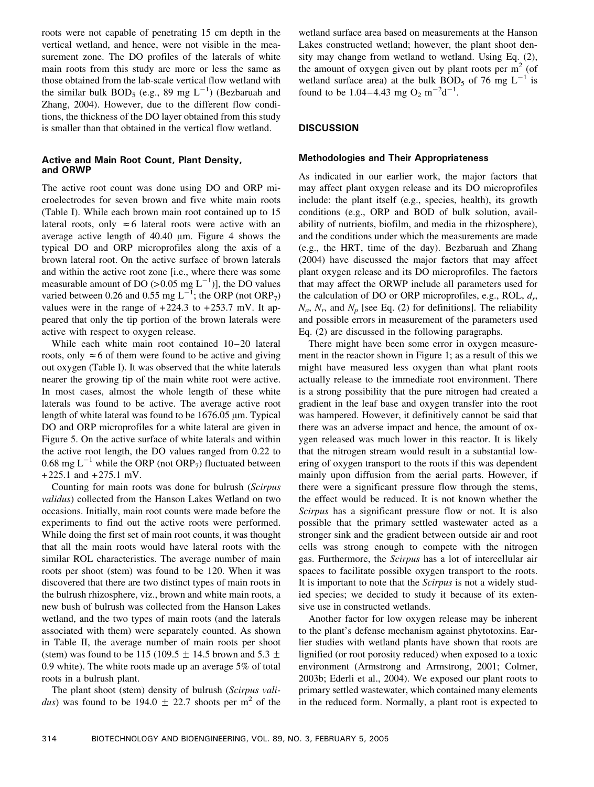roots were not capable of penetrating 15 cm depth in the vertical wetland, and hence, were not visible in the measurement zone. The DO profiles of the laterals of white main roots from this study are more or less the same as those obtained from the lab-scale vertical flow wetland with the similar bulk  $BOD_5$  (e.g., 89 mg  $L^{-1}$ ) (Bezbaruah and Zhang, 2004). However, due to the different flow conditions, the thickness of the DO layer obtained from this study is smaller than that obtained in the vertical flow wetland.

## Active and Main Root Count, Plant Density, and ORWP

The active root count was done using DO and ORP microelectrodes for seven brown and five white main roots (Table I). While each brown main root contained up to 15 lateral roots, only  $\approx 6$  lateral roots were active with an average active length of  $40.40 \mu m$ . Figure 4 shows the typical DO and ORP microprofiles along the axis of a brown lateral root. On the active surface of brown laterals and within the active root zone [i.e., where there was some measurable amount of DO  $(>0.05 \text{ mg L}^{-1})$ ], the DO values varied between 0.26 and 0.55 mg  $L^{-1}$ ; the ORP (not ORP<sub>7</sub>) values were in the range of  $+224.3$  to  $+253.7$  mV. It appeared that only the tip portion of the brown laterals were active with respect to oxygen release.

While each white main root contained 10–20 lateral roots, only  $\approx 6$  of them were found to be active and giving out oxygen (Table I). It was observed that the white laterals nearer the growing tip of the main white root were active. In most cases, almost the whole length of these white laterals was found to be active. The average active root length of white lateral was found to be  $1676.05 \mu m$ . Typical DO and ORP microprofiles for a white lateral are given in Figure 5. On the active surface of white laterals and within the active root length, the DO values ranged from 0.22 to 0.68 mg  $L^{-1}$  while the ORP (not ORP<sub>7</sub>) fluctuated between +225.1 and +275.1 mV.

Counting for main roots was done for bulrush (Scirpus validus) collected from the Hanson Lakes Wetland on two occasions. Initially, main root counts were made before the experiments to find out the active roots were performed. While doing the first set of main root counts, it was thought that all the main roots would have lateral roots with the similar ROL characteristics. The average number of main roots per shoot (stem) was found to be 120. When it was discovered that there are two distinct types of main roots in the bulrush rhizosphere, viz., brown and white main roots, a new bush of bulrush was collected from the Hanson Lakes wetland, and the two types of main roots (and the laterals associated with them) were separately counted. As shown in Table II, the average number of main roots per shoot (stem) was found to be 115 (109.5  $\pm$  14.5 brown and 5.3  $\pm$ 0.9 white). The white roots made up an average 5% of total roots in a bulrush plant.

The plant shoot (stem) density of bulrush (Scirpus validus) was found to be 194.0  $\pm$  22.7 shoots per m<sup>2</sup> of the wetland surface area based on measurements at the Hanson Lakes constructed wetland; however, the plant shoot density may change from wetland to wetland. Using Eq. (2), the amount of oxygen given out by plant roots per  $m<sup>2</sup>$  (of wetland surface area) at the bulk BOD<sub>5</sub> of 76 mg  $L^{-1}$  is found to be 1.04–4.43 mg  $O_2 \text{ m}^{-2} \text{d}^{-1}$ .

# **DISCUSSION**

#### Methodologies and Their Appropriateness

As indicated in our earlier work, the major factors that may affect plant oxygen release and its DO microprofiles include: the plant itself (e.g., species, health), its growth conditions (e.g., ORP and BOD of bulk solution, availability of nutrients, biofilm, and media in the rhizosphere), and the conditions under which the measurements are made (e.g., the HRT, time of the day). Bezbaruah and Zhang (2004) have discussed the major factors that may affect plant oxygen release and its DO microprofiles. The factors that may affect the ORWP include all parameters used for the calculation of DO or ORP microprofiles, e.g., ROL,  $d_r$ ,  $N_a$ ,  $N_r$ , and  $N_p$  [see Eq. (2) for definitions]. The reliability and possible errors in measurement of the parameters used Eq. (2) are discussed in the following paragraphs.

There might have been some error in oxygen measurement in the reactor shown in Figure 1; as a result of this we might have measured less oxygen than what plant roots actually release to the immediate root environment. There is a strong possibility that the pure nitrogen had created a gradient in the leaf base and oxygen transfer into the root was hampered. However, it definitively cannot be said that there was an adverse impact and hence, the amount of oxygen released was much lower in this reactor. It is likely that the nitrogen stream would result in a substantial lowering of oxygen transport to the roots if this was dependent mainly upon diffusion from the aerial parts. However, if there were a significant pressure flow through the stems, the effect would be reduced. It is not known whether the Scirpus has a significant pressure flow or not. It is also possible that the primary settled wastewater acted as a stronger sink and the gradient between outside air and root cells was strong enough to compete with the nitrogen gas. Furthermore, the Scirpus has a lot of intercellular air spaces to facilitate possible oxygen transport to the roots. It is important to note that the Scirpus is not a widely studied species; we decided to study it because of its extensive use in constructed wetlands.

Another factor for low oxygen release may be inherent to the plant's defense mechanism against phytotoxins. Earlier studies with wetland plants have shown that roots are lignified (or root porosity reduced) when exposed to a toxic environment (Armstrong and Armstrong, 2001; Colmer, 2003b; Ederli et al., 2004). We exposed our plant roots to primary settled wastewater, which contained many elements in the reduced form. Normally, a plant root is expected to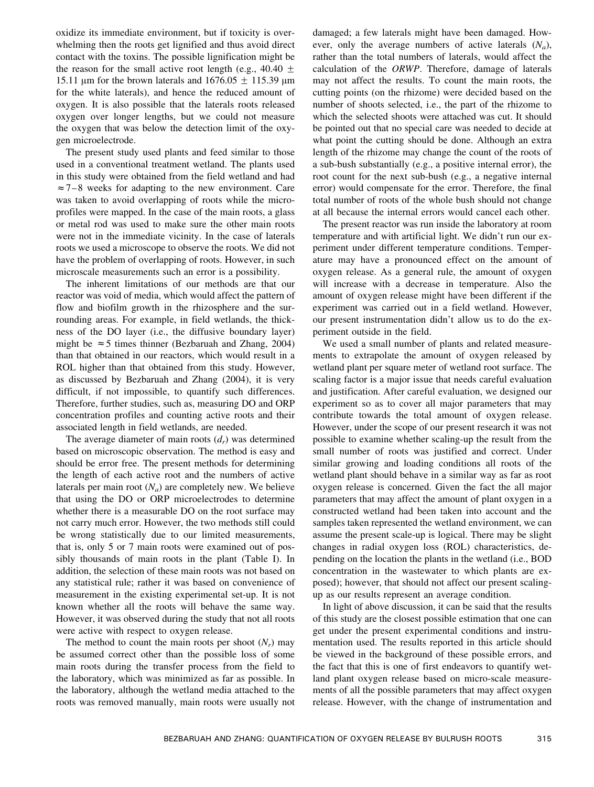oxidize its immediate environment, but if toxicity is overwhelming then the roots get lignified and thus avoid direct contact with the toxins. The possible lignification might be the reason for the small active root length (e.g., 40.40  $\pm$ 15.11  $\mu$ m for the brown laterals and 1676.05  $\pm$  115.39  $\mu$ m for the white laterals), and hence the reduced amount of oxygen. It is also possible that the laterals roots released oxygen over longer lengths, but we could not measure the oxygen that was below the detection limit of the oxygen microelectrode.

The present study used plants and feed similar to those used in a conventional treatment wetland. The plants used in this study were obtained from the field wetland and had  $\approx$  7–8 weeks for adapting to the new environment. Care was taken to avoid overlapping of roots while the microprofiles were mapped. In the case of the main roots, a glass or metal rod was used to make sure the other main roots were not in the immediate vicinity. In the case of laterals roots we used a microscope to observe the roots. We did not have the problem of overlapping of roots. However, in such microscale measurements such an error is a possibility.

The inherent limitations of our methods are that our reactor was void of media, which would affect the pattern of flow and biofilm growth in the rhizosphere and the surrounding areas. For example, in field wetlands, the thickness of the DO layer (i.e., the diffusive boundary layer) might be  $\approx$  5 times thinner (Bezbaruah and Zhang, 2004) than that obtained in our reactors, which would result in a ROL higher than that obtained from this study. However, as discussed by Bezbaruah and Zhang (2004), it is very difficult, if not impossible, to quantify such differences. Therefore, further studies, such as, measuring DO and ORP concentration profiles and counting active roots and their associated length in field wetlands, are needed.

The average diameter of main roots  $(d_r)$  was determined based on microscopic observation. The method is easy and should be error free. The present methods for determining the length of each active root and the numbers of active laterals per main root  $(N_a)$  are completely new. We believe that using the DO or ORP microelectrodes to determine whether there is a measurable DO on the root surface may not carry much error. However, the two methods still could be wrong statistically due to our limited measurements, that is, only 5 or 7 main roots were examined out of possibly thousands of main roots in the plant (Table I). In addition, the selection of these main roots was not based on any statistical rule; rather it was based on convenience of measurement in the existing experimental set-up. It is not known whether all the roots will behave the same way. However, it was observed during the study that not all roots were active with respect to oxygen release.

The method to count the main roots per shoot  $(N_r)$  may be assumed correct other than the possible loss of some main roots during the transfer process from the field to the laboratory, which was minimized as far as possible. In the laboratory, although the wetland media attached to the roots was removed manually, main roots were usually not

damaged; a few laterals might have been damaged. However, only the average numbers of active laterals  $(N_a)$ , rather than the total numbers of laterals, would affect the calculation of the ORWP. Therefore, damage of laterals may not affect the results. To count the main roots, the cutting points (on the rhizome) were decided based on the number of shoots selected, i.e., the part of the rhizome to which the selected shoots were attached was cut. It should be pointed out that no special care was needed to decide at what point the cutting should be done. Although an extra length of the rhizome may change the count of the roots of a sub-bush substantially (e.g., a positive internal error), the root count for the next sub-bush (e.g., a negative internal error) would compensate for the error. Therefore, the final total number of roots of the whole bush should not change at all because the internal errors would cancel each other.

The present reactor was run inside the laboratory at room temperature and with artificial light. We didn't run our experiment under different temperature conditions. Temperature may have a pronounced effect on the amount of oxygen release. As a general rule, the amount of oxygen will increase with a decrease in temperature. Also the amount of oxygen release might have been different if the experiment was carried out in a field wetland. However, our present instrumentation didn't allow us to do the experiment outside in the field.

We used a small number of plants and related measurements to extrapolate the amount of oxygen released by wetland plant per square meter of wetland root surface. The scaling factor is a major issue that needs careful evaluation and justification. After careful evaluation, we designed our experiment so as to cover all major parameters that may contribute towards the total amount of oxygen release. However, under the scope of our present research it was not possible to examine whether scaling-up the result from the small number of roots was justified and correct. Under similar growing and loading conditions all roots of the wetland plant should behave in a similar way as far as root oxygen release is concerned. Given the fact the all major parameters that may affect the amount of plant oxygen in a constructed wetland had been taken into account and the samples taken represented the wetland environment, we can assume the present scale-up is logical. There may be slight changes in radial oxygen loss (ROL) characteristics, depending on the location the plants in the wetland (i.e., BOD concentration in the wastewater to which plants are exposed); however, that should not affect our present scalingup as our results represent an average condition.

In light of above discussion, it can be said that the results of this study are the closest possible estimation that one can get under the present experimental conditions and instrumentation used. The results reported in this article should be viewed in the background of these possible errors, and the fact that this is one of first endeavors to quantify wetland plant oxygen release based on micro-scale measurements of all the possible parameters that may affect oxygen release. However, with the change of instrumentation and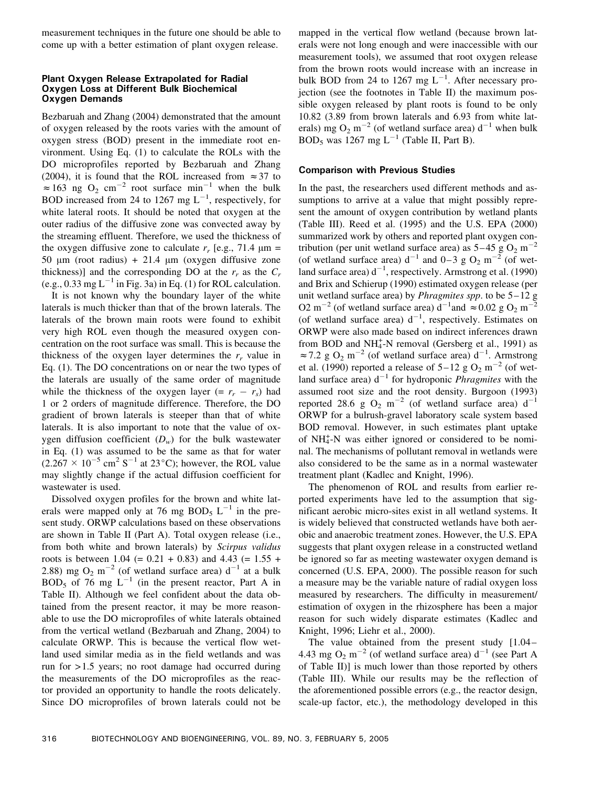measurement techniques in the future one should be able to come up with a better estimation of plant oxygen release.

## Plant Oxygen Release Extrapolated for Radial Oxygen Loss at Different Bulk Biochemical Oxygen Demands

Bezbaruah and Zhang (2004) demonstrated that the amount of oxygen released by the roots varies with the amount of oxygen stress (BOD) present in the immediate root environment. Using Eq. (1) to calculate the ROLs with the DO microprofiles reported by Bezbaruah and Zhang (2004), it is found that the ROL increased from  $\approx$  37 to  $\approx$  163 ng O<sub>2</sub> cm<sup>-2</sup> root surface min<sup>-1</sup> when the bulk BOD increased from 24 to 1267 mg  $L^{-1}$ , respectively, for white lateral roots. It should be noted that oxygen at the outer radius of the diffusive zone was convected away by the streaming effluent. Therefore, we used the thickness of the oxygen diffusive zone to calculate  $r_r$  [e.g., 71.4  $\mu$ m = 50  $\mu$ m (root radius) + 21.4  $\mu$ m (oxygen diffusive zone thickness)] and the corresponding DO at the  $r_r$  as the  $C_r$ (e.g., 0.33 mg  $L^{-1}$  in Fig. 3a) in Eq. (1) for ROL calculation.

It is not known why the boundary layer of the white laterals is much thicker than that of the brown laterals. The laterals of the brown main roots were found to exhibit very high ROL even though the measured oxygen concentration on the root surface was small. This is because the thickness of the oxygen layer determines the  $r_r$  value in Eq. (1). The DO concentrations on or near the two types of the laterals are usually of the same order of magnitude while the thickness of the oxygen layer (=  $r_r - r_s$ ) had 1 or 2 orders of magnitude difference. Therefore, the DO gradient of brown laterals is steeper than that of white laterals. It is also important to note that the value of oxygen diffusion coefficient  $(D_w)$  for the bulk wastewater in Eq. (1) was assumed to be the same as that for water  $(2.267 \times 10^{-5} \text{ cm}^2 \text{ S}^{-1}$  at 23<sup>°</sup>C); however, the ROL value may slightly change if the actual diffusion coefficient for wastewater is used.

Dissolved oxygen profiles for the brown and white laterals were mapped only at 76 mg BOD<sub>5</sub> L<sup>-1</sup> in the present study. ORWP calculations based on these observations are shown in Table II (Part A). Total oxygen release (i.e., from both white and brown laterals) by Scirpus validus roots is between  $1.04$  (=  $0.21 + 0.83$ ) and  $4.43$  (=  $1.55 +$ 2.88) mg  $O_2$  m<sup>-2</sup> (of wetland surface area) d<sup>-1</sup> at a bulk  $BOD_5$  of 76 mg  $L^{-1}$  (in the present reactor, Part A in Table II). Although we feel confident about the data obtained from the present reactor, it may be more reasonable to use the DO microprofiles of white laterals obtained from the vertical wetland (Bezbaruah and Zhang, 2004) to calculate ORWP. This is because the vertical flow wetland used similar media as in the field wetlands and was run for >1.5 years; no root damage had occurred during the measurements of the DO microprofiles as the reactor provided an opportunity to handle the roots delicately. Since DO microprofiles of brown laterals could not be

mapped in the vertical flow wetland (because brown laterals were not long enough and were inaccessible with our measurement tools), we assumed that root oxygen release from the brown roots would increase with an increase in bulk BOD from 24 to 1267 mg  $L^{-1}$ . After necessary projection (see the footnotes in Table II) the maximum possible oxygen released by plant roots is found to be only 10.82 (3.89 from brown laterals and 6.93 from white laterals) mg  $O_2$  m<sup>-2</sup> (of wetland surface area) d<sup>-1</sup> when bulk BOD<sub>5</sub> was 1267 mg  $L^{-1}$  (Table II, Part B).

## Comparison with Previous Studies

In the past, the researchers used different methods and assumptions to arrive at a value that might possibly represent the amount of oxygen contribution by wetland plants (Table III). Reed et al. (1995) and the U.S. EPA (2000) summarized work by others and reported plant oxygen contribution (per unit wetland surface area) as  $5-45$  g O<sub>2</sub> m<sup>-2</sup> (of wetland surface area)  $d^{-1}$  and  $0-3$  g  $O_2$  m<sup>-2</sup> (of wetland surface area)  $d^{-1}$ , respectively. Armstrong et al. (1990) and Brix and Schierup (1990) estimated oxygen release (per unit wetland surface area) by *Phragmites spp*. to be  $5-12$  g O2 m<sup>-2</sup> (of wetland surface area)  $d^{-1}$  and  $\approx 0.02$  g O<sub>2</sub> m<sup>-2</sup> (of wetland surface area)  $d^{-1}$ , respectively. Estimates on ORWP were also made based on indirect inferences drawn from BOD and NH<sup>+</sup><sub>4</sub>-N removal (Gersberg et al., 1991) as  $\approx$  7.2 g O<sub>2</sub> m<sup>-2</sup> (of wetland surface area) d<sup>-1</sup>. Armstrong et al. (1990) reported a release of  $5-12$  g O<sub>2</sub> m<sup>-2</sup> (of wetland surface area)  $d^{-1}$  for hydroponic *Phragmites* with the assumed root size and the root density. Burgoon (1993) reported 28.6 g  $O_2$  m<sup>-2</sup> (of wetland surface area) d<sup>-1</sup> ORWP for a bulrush-gravel laboratory scale system based BOD removal. However, in such estimates plant uptake of NH<sub>4</sub>-N was either ignored or considered to be nominal. The mechanisms of pollutant removal in wetlands were also considered to be the same as in a normal wastewater treatment plant (Kadlec and Knight, 1996).

The phenomenon of ROL and results from earlier reported experiments have led to the assumption that significant aerobic micro-sites exist in all wetland systems. It is widely believed that constructed wetlands have both aerobic and anaerobic treatment zones. However, the U.S. EPA suggests that plant oxygen release in a constructed wetland be ignored so far as meeting wastewater oxygen demand is concerned (U.S. EPA, 2000). The possible reason for such a measure may be the variable nature of radial oxygen loss measured by researchers. The difficulty in measurement/ estimation of oxygen in the rhizosphere has been a major reason for such widely disparate estimates (Kadlec and Knight, 1996; Liehr et al., 2000).

The value obtained from the present study [1.04– 4.43 mg  $O_2$  m<sup>-2</sup> (of wetland surface area) d<sup>-1</sup> (see Part A of Table II)] is much lower than those reported by others (Table III). While our results may be the reflection of the aforementioned possible errors (e.g., the reactor design, scale-up factor, etc.), the methodology developed in this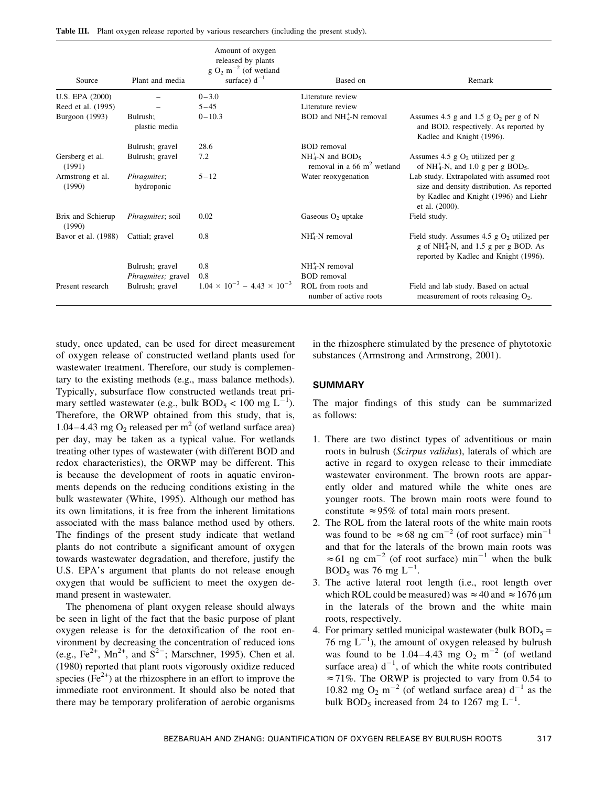Table III. Plant oxygen release reported by various researchers (including the present study).

| Source                      | Plant and media                   | Amount of oxygen<br>released by plants<br>$g O2 m-2$ (of wetland<br>surface) $d^{-1}$ | Based on                                                                  | Remark                                                                                                                                             |
|-----------------------------|-----------------------------------|---------------------------------------------------------------------------------------|---------------------------------------------------------------------------|----------------------------------------------------------------------------------------------------------------------------------------------------|
| U.S. EPA (2000)             |                                   | $0 - 3.0$                                                                             | Literature review                                                         |                                                                                                                                                    |
| Reed et al. (1995)          |                                   | $5 - 45$                                                                              | Literature review                                                         |                                                                                                                                                    |
| Burgoon (1993)              | Bulrush;<br>plastic media         | $0 - 10.3$                                                                            | BOD and $NH_4^+$ -N removal                                               | Assumes 4.5 g and 1.5 g $O_2$ per g of N<br>and BOD, respectively. As reported by<br>Kadlec and Knight (1996).                                     |
|                             | Bulrush; gravel                   | 28.6                                                                                  | <b>BOD</b> removal                                                        |                                                                                                                                                    |
| Gersberg et al.<br>(1991)   | Bulrush; gravel                   | 7.2                                                                                   | $NH_4^+$ -N and BOD <sub>5</sub><br>removal in a $66 \text{ m}^2$ wetland | Assumes 4.5 g $O_2$ utilized per g<br>of NH <sup><math>+</math></sup> -N, and 1.0 g per g BOD <sub>5</sub> .                                       |
| Armstrong et al.<br>(1990)  | <i>Phragmites</i> ;<br>hydroponic | $5 - 12$                                                                              | Water reoxygenation                                                       | Lab study. Extrapolated with assumed root<br>size and density distribution. As reported<br>by Kadlec and Knight (1996) and Liehr<br>et al. (2000). |
| Brix and Schierup<br>(1990) | <i>Phragmites</i> ; soil          | 0.02                                                                                  | Gaseous $O2$ uptake                                                       | Field study.                                                                                                                                       |
| Bavor et al. (1988)         | Cattial; gravel                   | 0.8                                                                                   | $NH4+-N$ removal                                                          | Field study. Assumes 4.5 g $O_2$ utilized per<br>g of NH $_4^+$ -N, and 1.5 g per g BOD. As<br>reported by Kadlec and Knight (1996).               |
|                             | Bulrush; gravel                   | 0.8                                                                                   | $NH_4^+$ -N removal                                                       |                                                                                                                                                    |
|                             | <i>Phragmites</i> ; gravel        | 0.8                                                                                   | <b>BOD</b> removal                                                        |                                                                                                                                                    |
| Present research            | Bulrush; gravel                   | $1.04 \times 10^{-3} - 4.43 \times 10^{-3}$                                           | ROL from roots and<br>number of active roots                              | Field and lab study. Based on actual<br>measurement of roots releasing $O_2$ .                                                                     |

study, once updated, can be used for direct measurement of oxygen release of constructed wetland plants used for wastewater treatment. Therefore, our study is complementary to the existing methods (e.g., mass balance methods). Typically, subsurface flow constructed wetlands treat primary settled wastewater (e.g., bulk  $BOD_5 < 100$  mg  $L^{-1}$ ). Therefore, the ORWP obtained from this study, that is, 1.04–4.43 mg  $O<sub>2</sub>$  released per m<sup>2</sup> (of wetland surface area) per day, may be taken as a typical value. For wetlands treating other types of wastewater (with different BOD and redox characteristics), the ORWP may be different. This is because the development of roots in aquatic environments depends on the reducing conditions existing in the bulk wastewater (White, 1995). Although our method has its own limitations, it is free from the inherent limitations associated with the mass balance method used by others. The findings of the present study indicate that wetland plants do not contribute a significant amount of oxygen towards wastewater degradation, and therefore, justify the U.S. EPA's argument that plants do not release enough oxygen that would be sufficient to meet the oxygen demand present in wastewater.

The phenomena of plant oxygen release should always be seen in light of the fact that the basic purpose of plant oxygen release is for the detoxification of the root environment by decreasing the concentration of reduced ions (e.g., Fe<sup>2+</sup>, Mn<sup>2+</sup>, and S<sup>2-</sup>; Marschner, 1995). Chen et al. (1980) reported that plant roots vigorously oxidize reduced species  $(Fe<sup>2+</sup>)$  at the rhizosphere in an effort to improve the immediate root environment. It should also be noted that there may be temporary proliferation of aerobic organisms

in the rhizosphere stimulated by the presence of phytotoxic substances (Armstrong and Armstrong, 2001).

## SUMMARY

The major findings of this study can be summarized as follows:

- 1. There are two distinct types of adventitious or main roots in bulrush (Scirpus validus), laterals of which are active in regard to oxygen release to their immediate wastewater environment. The brown roots are apparently older and matured while the white ones are younger roots. The brown main roots were found to constitute  $\approx 95\%$  of total main roots present.
- 2. The ROL from the lateral roots of the white main roots was found to be  $\approx 68$  ng cm<sup>-2</sup> (of root surface) min<sup>-1</sup> and that for the laterals of the brown main roots was  $\approx 61$  ng cm<sup>-2</sup> (of root surface) min<sup>-1</sup> when the bulk  $BOD_5$  was 76 mg  $L^{-1}$ .
- 3. The active lateral root length (i.e., root length over which ROL could be measured) was  $\approx 40$  and  $\approx 1676 \,\mathrm{\upmu m}$ in the laterals of the brown and the white main roots, respectively.
- 4. For primary settled municipal wastewater (bulk  $BOD_5 =$ 76 mg  $L^{-1}$ ), the amount of oxygen released by bulrush was found to be 1.04–4.43 mg  $O_2$  m<sup>-2</sup> (of wetland surface area)  $d^{-1}$ , of which the white roots contributed  $\approx$  71%. The ORWP is projected to vary from 0.54 to 10.82 mg O<sub>2</sub> m<sup>-2</sup> (of wetland surface area)  $d^{-1}$  as the bulk BOD<sub>5</sub> increased from 24 to 1267 mg  $L^{-1}$ .